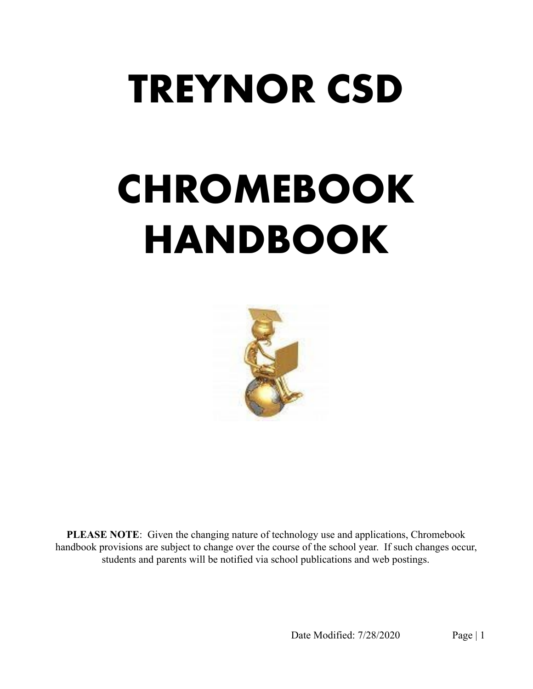# TREYNOR CSD

# CHROMEBOOK HANDBOOK



PLEASE NOTE: Given the changing nature of technology use and applications, Chromebook handbook provisions are subject to change over the course of the school year. If such changes occur, students and parents will be notified via school publications and web postings.

Date Modified: 7/28/2020 Page | 1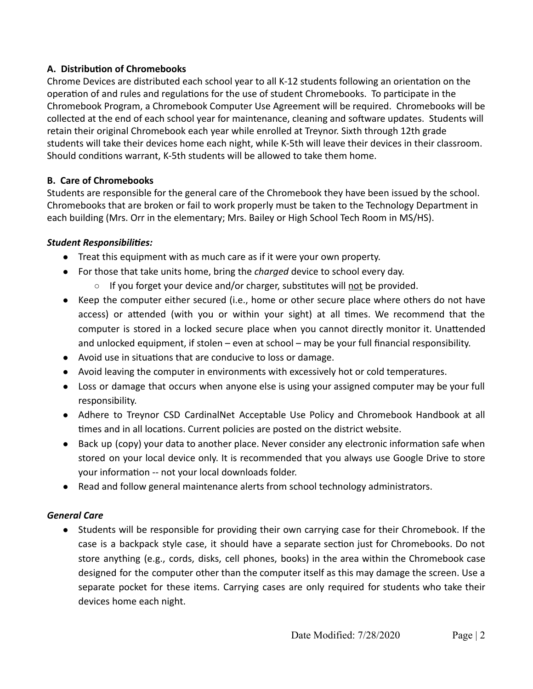# **A. Distribution of Chromebooks**

Chrome Devices are distributed each school year to all K-12 students following an orientation on the operation of and rules and regulations for the use of student Chromebooks. To participate in the Chromebook Program, a Chromebook Computer Use Agreement will be required. Chromebooks will be collected at the end of each school year for maintenance, cleaning and software updates. Students will retain their original Chromebook each year while enrolled at Treynor. Sixth through 12th grade students will take their devices home each night, while K-5th will leave their devices in their classroom. Should conditions warrant, K-5th students will be allowed to take them home.

## **B. Care of Chromebooks**

Students are responsible for the general care of the Chromebook they have been issued by the school. Chromebooks that are broken or fail to work properly must be taken to the Technology Department in each building (Mrs. Orr in the elementary; Mrs. Bailey or High School Tech Room in MS/HS).

# *Student Responsibilies:*

- Treat this equipment with as much care as if it were your own property.
- For those that take units home, bring the *charged* device to school every day.
	- If you forget your device and/or charger, substitutes will not be provided.
- Keep the computer either secured (i.e., home or other secure place where others do not have access) or attended (with you or within your sight) at all times. We recommend that the computer is stored in a locked secure place when you cannot directly monitor it. Unattended and unlocked equipment, if stolen – even at school – may be your full financial responsibility.
- Avoid use in situations that are conducive to loss or damage.
- Avoid leaving the computer in environments with excessively hot or cold temperatures.
- Loss or damage that occurs when anyone else is using your assigned computer may be your full responsibility.
- Adhere to Treynor CSD CardinalNet Acceptable Use Policy and Chromebook Handbook at all times and in all locations. Current policies are posted on the district website.
- Back up (copy) your data to another place. Never consider any electronic information safe when stored on your local device only. It is recommended that you always use Google Drive to store your information -- not your local downloads folder.
- Read and follow general maintenance alerts from school technology administrators.

# *General Care*

● Students will be responsible for providing their own carrying case for their Chromebook. If the case is a backpack style case, it should have a separate section just for Chromebooks. Do not store anything (e.g., cords, disks, cell phones, books) in the area within the Chromebook case designed for the computer other than the computer itself as this may damage the screen. Use a separate pocket for these items. Carrying cases are only required for students who take their devices home each night.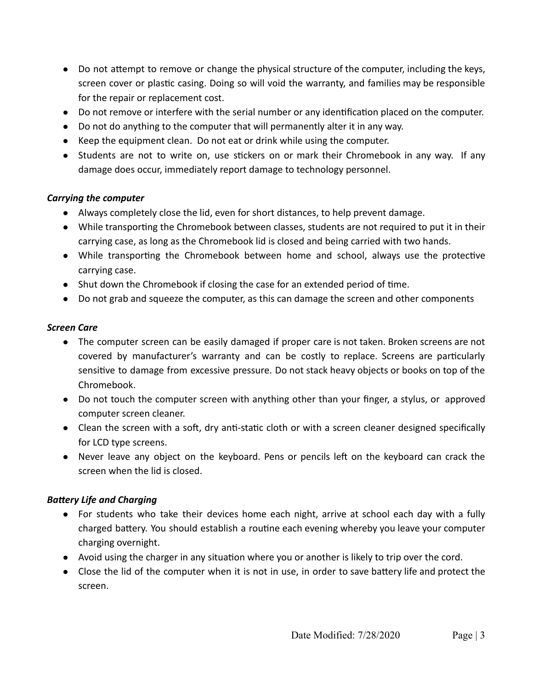- Do not attempt to remove or change the physical structure of the computer, including the keys, screen cover or plastic casing. Doing so will void the warranty, and families may be responsible for the repair or replacement cost.
- Do not remove or interfere with the serial number or any identification placed on the computer.
- Do not do anything to the computer that will permanently alter it in any way.
- Keep the equipment clean. Do not eat or drink while using the computer.
- Students are not to write on, use stickers on or mark their Chromebook in any way. If any damage does occur, immediately report damage to technology personnel.

#### *Carrying the computer*

- Always completely close the lid, even for short distances, to help prevent damage.
- While transporting the Chromebook between classes, students are not required to put it in their carrying case, as long as the Chromebook lid is closed and being carried with two hands.
- While transporting the Chromebook between home and school, always use the protective carrying case.
- Shut down the Chromebook if closing the case for an extended period of time.
- Do not grab and squeeze the computer, as this can damage the screen and other components

#### *Screen Care*

- The computer screen can be easily damaged if proper care is not taken. Broken screens are not covered by manufacturer's warranty and can be costly to replace. Screens are particularly sensitive to damage from excessive pressure. Do not stack heavy objects or books on top of the Chromebook.
- Do not touch the computer screen with anything other than your finger, a stylus, or approved computer screen cleaner.
- Clean the screen with a soft, dry anti-static cloth or with a screen cleaner designed specifically for LCD type screens.
- Never leave any object on the keyboard. Pens or pencils left on the keyboard can crack the screen when the lid is closed.

## **Battery Life and Charging**

- For students who take their devices home each night, arrive at school each day with a fully charged battery. You should establish a routine each evening whereby you leave your computer charging overnight.
- Avoid using the charger in any situation where you or another is likely to trip over the cord.
- Close the lid of the computer when it is not in use, in order to save battery life and protect the screen.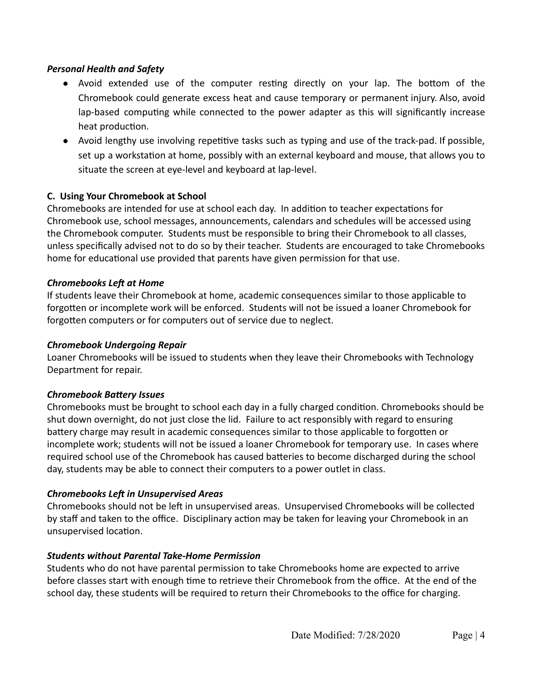#### *Personal Health and Safety*

- Avoid extended use of the computer resting directly on your lap. The bottom of the Chromebook could generate excess heat and cause temporary or permanent injury. Also, avoid lap-based computing while connected to the power adapter as this will significantly increase heat production.
- Avoid lengthy use involving repetitive tasks such as typing and use of the track-pad. If possible, set up a workstation at home, possibly with an external keyboard and mouse, that allows you to situate the screen at eye-level and keyboard at lap-level.

#### **C. Using Your Chromebook at School**

Chromebooks are intended for use at school each day. In addition to teacher expectations for Chromebook use, school messages, announcements, calendars and schedules will be accessed using the Chromebook computer. Students must be responsible to bring their Chromebook to all classes, unless specifically advised not to do so by their teacher. Students are encouraged to take Chromebooks home for educational use provided that parents have given permission for that use.

#### **Chromebooks Left at Home**

If students leave their Chromebook at home, academic consequences similar to those applicable to forgotten or incomplete work will be enforced. Students will not be issued a loaner Chromebook for forgotten computers or for computers out of service due to neglect.

#### *Chromebook Undergoing Repair*

Loaner Chromebooks will be issued to students when they leave their Chromebooks with Technology Department for repair.

#### **Chromebook Battery Issues**

Chromebooks must be brought to school each day in a fully charged condition. Chromebooks should be shut down overnight, do not just close the lid. Failure to act responsibly with regard to ensuring battery charge may result in academic consequences similar to those applicable to forgotten or incomplete work; students will not be issued a loaner Chromebook for temporary use. In cases where required school use of the Chromebook has caused batteries to become discharged during the school day, students may be able to connect their computers to a power outlet in class.

## *Chromebooks Le in Unsupervised Areas*

Chromebooks should not be left in unsupervised areas. Unsupervised Chromebooks will be collected by staff and taken to the office. Disciplinary action may be taken for leaving your Chromebook in an unsupervised location.

#### *Students without Parental Take-Home Permission*

Students who do not have parental permission to take Chromebooks home are expected to arrive before classes start with enough time to retrieve their Chromebook from the office. At the end of the school day, these students will be required to return their Chromebooks to the office for charging.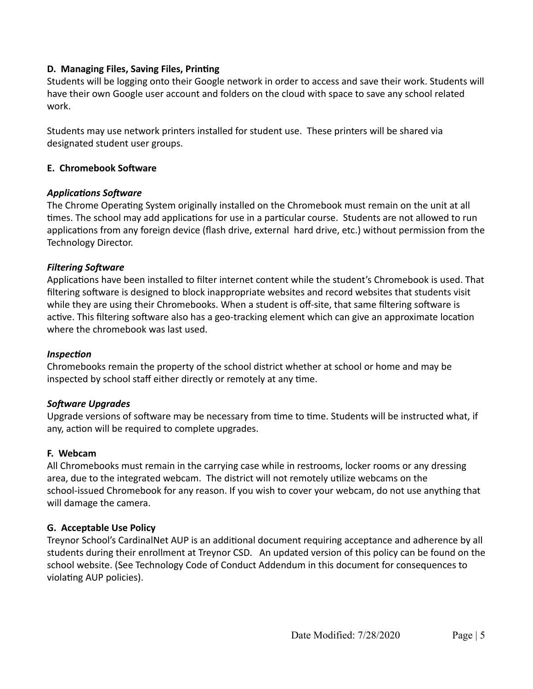#### **D. Managing Files, Saving Files, Printing**

Students will be logging onto their Google network in order to access and save their work. Students will have their own Google user account and folders on the cloud with space to save any school related work.

Students may use network printers installed for student use. These printers will be shared via designated student user groups.

#### **E. Chromebook Software**

#### **Applications Software**

The Chrome Operating System originally installed on the Chromebook must remain on the unit at all times. The school may add applications for use in a particular course. Students are not allowed to run applications from any foreign device (flash drive, external hard drive, etc.) without permission from the Technology Director.

#### **Filtering Software**

Applications have been installed to filter internet content while the student's Chromebook is used. That filtering software is designed to block inappropriate websites and record websites that students visit while they are using their Chromebooks. When a student is off-site, that same filtering software is active. This filtering software also has a geo-tracking element which can give an approximate location where the chromebook was last used.

#### *Inspection*

Chromebooks remain the property of the school district whether at school or home and may be inspected by school staff either directly or remotely at any time.

#### **Software Upgrades**

Upgrade versions of software may be necessary from time to time. Students will be instructed what, if any, action will be required to complete upgrades.

#### **F. Webcam**

All Chromebooks must remain in the carrying case while in restrooms, locker rooms or any dressing area, due to the integrated webcam. The district will not remotely utilize webcams on the school-issued Chromebook for any reason. If you wish to cover your webcam, do not use anything that will damage the camera.

#### **G. Acceptable Use Policy**

Treynor School's CardinalNet AUP is an additional document requiring acceptance and adherence by all students during their enrollment at Treynor CSD. An updated version of this policy can be found on the school website. (See Technology Code of Conduct Addendum in this document for consequences to violating AUP policies).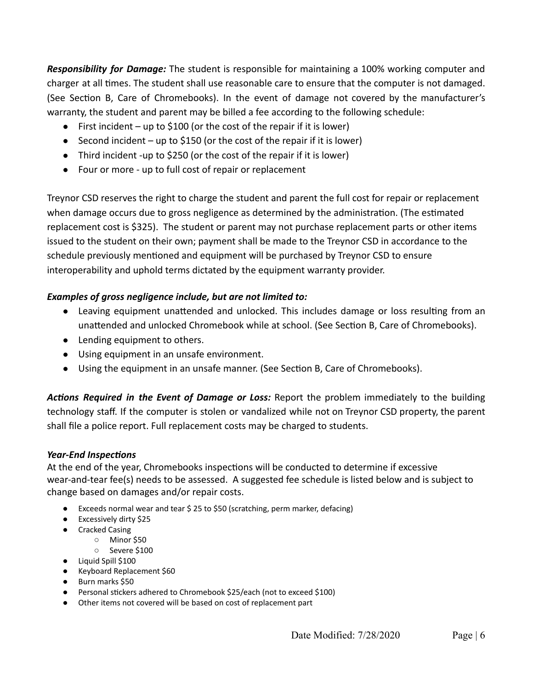*Responsibility for Damage:* The student is responsible for maintaining a 100% working computer and charger at all times. The student shall use reasonable care to ensure that the computer is not damaged. (See Section B, Care of Chromebooks). In the event of damage not covered by the manufacturer's warranty, the student and parent may be billed a fee according to the following schedule:

- First incident up to \$100 (or the cost of the repair if it is lower)
- Second incident up to \$150 (or the cost of the repair if it is lower)
- Third incident -up to \$250 (or the cost of the repair if it is lower)
- Four or more up to full cost of repair or replacement

Treynor CSD reserves the right to charge the student and parent the full cost for repair or replacement when damage occurs due to gross negligence as determined by the administration. (The estimated replacement cost is \$325). The student or parent may not purchase replacement parts or other items issued to the student on their own; payment shall be made to the Treynor CSD in accordance to the schedule previously mentioned and equipment will be purchased by Treynor CSD to ensure interoperability and uphold terms dictated by the equipment warranty provider.

# *Examples of gross negligence include, but are not limited to:*

- Leaving equipment unattended and unlocked. This includes damage or loss resulting from an unattended and unlocked Chromebook while at school. (See Section B, Care of Chromebooks).
- Lending equipment to others.
- Using equipment in an unsafe environment.
- Using the equipment in an unsafe manner. (See Section B, Care of Chromebooks).

Actions Required in the Event of Damage or Loss: Report the problem immediately to the building technology staff. If the computer is stolen or vandalized while not on Treynor CSD property, the parent shall file a police report. Full replacement costs may be charged to students.

#### **Year-End Inspections**

At the end of the year, Chromebooks inspections will be conducted to determine if excessive wear-and-tear fee(s) needs to be assessed. A suggested fee schedule is listed below and is subject to change based on damages and/or repair costs.

- Exceeds normal wear and tear \$ 25 to \$50 (scratching, perm marker, defacing)
- Excessively dirty \$25
- Cracked Casing
	- Minor \$50
		- Severe \$100
- Liquid Spill \$100
- Keyboard Replacement \$60
- Burn marks \$50
- Personal stickers adhered to Chromebook \$25/each (not to exceed \$100)
- Other items not covered will be based on cost of replacement part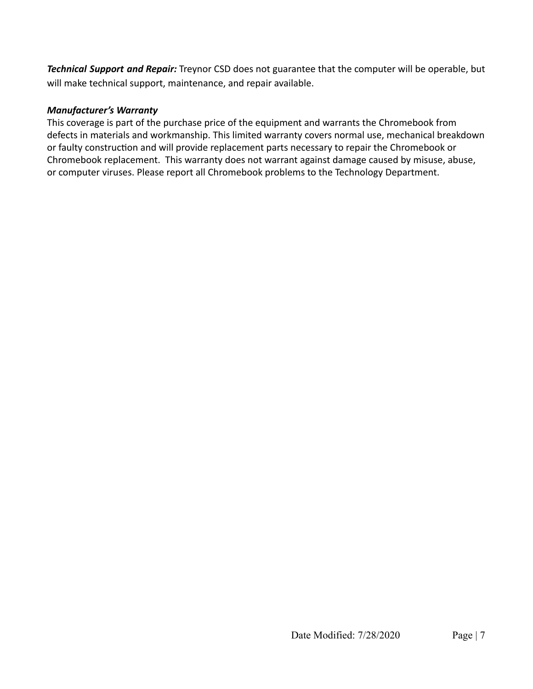*Technical Support and Repair:* Treynor CSD does not guarantee that the computer will be operable, but will make technical support, maintenance, and repair available.

# *Manufacturer's Warranty*

This coverage is part of the purchase price of the equipment and warrants the Chromebook from defects in materials and workmanship. This limited warranty covers normal use, mechanical breakdown or faulty construction and will provide replacement parts necessary to repair the Chromebook or Chromebook replacement. This warranty does not warrant against damage caused by misuse, abuse, or computer viruses. Please report all Chromebook problems to the Technology Department.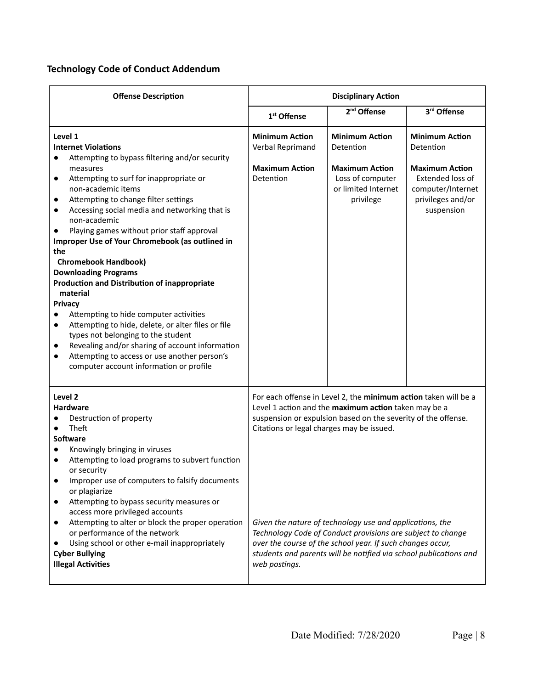# **Technology Code of Conduct Addendum**

| <b>Offense Description</b>                                                                                                                                                                                                                                                                                                                                                                                                                                                                                                                                                                                                                                                                                                                                                                                                                                                                                 | <b>Disciplinary Action</b>                                                      |                                                                                                                                                                                                                                                                                                                                                                                                                                                        |                                                                                                                                                |
|------------------------------------------------------------------------------------------------------------------------------------------------------------------------------------------------------------------------------------------------------------------------------------------------------------------------------------------------------------------------------------------------------------------------------------------------------------------------------------------------------------------------------------------------------------------------------------------------------------------------------------------------------------------------------------------------------------------------------------------------------------------------------------------------------------------------------------------------------------------------------------------------------------|---------------------------------------------------------------------------------|--------------------------------------------------------------------------------------------------------------------------------------------------------------------------------------------------------------------------------------------------------------------------------------------------------------------------------------------------------------------------------------------------------------------------------------------------------|------------------------------------------------------------------------------------------------------------------------------------------------|
|                                                                                                                                                                                                                                                                                                                                                                                                                                                                                                                                                                                                                                                                                                                                                                                                                                                                                                            | 1 <sup>st</sup> Offense                                                         | 2 <sup>nd</sup> Offense                                                                                                                                                                                                                                                                                                                                                                                                                                | 3rd Offense                                                                                                                                    |
| Level 1<br><b>Internet Violations</b><br>Attempting to bypass filtering and/or security<br>measures<br>Attempting to surf for inappropriate or<br>$\bullet$<br>non-academic items<br>Attempting to change filter settings<br>$\bullet$<br>Accessing social media and networking that is<br>$\bullet$<br>non-academic<br>Playing games without prior staff approval<br>Improper Use of Your Chromebook (as outlined in<br>the<br><b>Chromebook Handbook)</b><br><b>Downloading Programs</b><br><b>Production and Distribution of inappropriate</b><br>material<br><b>Privacy</b><br>Attempting to hide computer activities<br>Attempting to hide, delete, or alter files or file<br>$\bullet$<br>types not belonging to the student<br>Revealing and/or sharing of account information<br>$\bullet$<br>Attempting to access or use another person's<br>$\bullet$<br>computer account information or profile | <b>Minimum Action</b><br>Verbal Reprimand<br><b>Maximum Action</b><br>Detention | <b>Minimum Action</b><br>Detention<br><b>Maximum Action</b><br>Loss of computer<br>or limited Internet<br>privilege                                                                                                                                                                                                                                                                                                                                    | <b>Minimum Action</b><br>Detention<br><b>Maximum Action</b><br><b>Extended loss of</b><br>computer/Internet<br>privileges and/or<br>suspension |
| Level <sub>2</sub><br>Hardware<br>Destruction of property<br>Theft<br><b>Software</b><br>Knowingly bringing in viruses<br>Attempting to load programs to subvert function<br>or security<br>Improper use of computers to falsify documents<br>or plagiarize<br>Attempting to bypass security measures or<br>$\bullet$<br>access more privileged accounts<br>Attempting to alter or block the proper operation<br>$\bullet$<br>or performance of the network<br>Using school or other e-mail inappropriately<br><b>Cyber Bullying</b><br><b>Illegal Activities</b>                                                                                                                                                                                                                                                                                                                                          | Citations or legal charges may be issued.<br>web postings.                      | For each offense in Level 2, the minimum action taken will be a<br>Level 1 action and the maximum action taken may be a<br>suspension or expulsion based on the severity of the offense.<br>Given the nature of technology use and applications, the<br>Technology Code of Conduct provisions are subject to change<br>over the course of the school year. If such changes occur,<br>students and parents will be notified via school publications and |                                                                                                                                                |